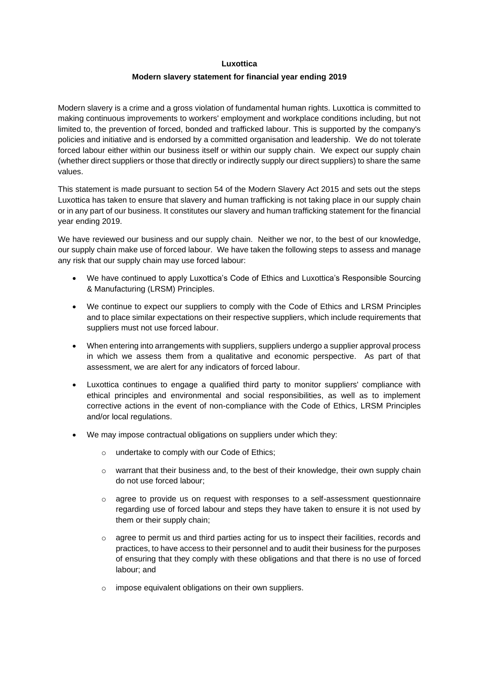## **Luxottica**

## **Modern slavery statement for financial year ending 2019**

Modern slavery is a crime and a gross violation of fundamental human rights. Luxottica is committed to making continuous improvements to workers' employment and workplace conditions including, but not limited to, the prevention of forced, bonded and trafficked labour. This is supported by the company's policies and initiative and is endorsed by a committed organisation and leadership. We do not tolerate forced labour either within our business itself or within our supply chain. We expect our supply chain (whether direct suppliers or those that directly or indirectly supply our direct suppliers) to share the same values.

This statement is made pursuant to section 54 of the Modern Slavery Act 2015 and sets out the steps Luxottica has taken to ensure that slavery and human trafficking is not taking place in our supply chain or in any part of our business. It constitutes our slavery and human trafficking statement for the financial year ending 2019.

We have reviewed our business and our supply chain. Neither we nor, to the best of our knowledge, our supply chain make use of forced labour. We have taken the following steps to assess and manage any risk that our supply chain may use forced labour:

- We have continued to apply Luxottica's Code of Ethics and Luxottica's Responsible Sourcing & Manufacturing (LRSM) Principles.
- We continue to expect our suppliers to comply with the Code of Ethics and LRSM Principles and to place similar expectations on their respective suppliers, which include requirements that suppliers must not use forced labour.
- When entering into arrangements with suppliers, suppliers undergo a supplier approval process in which we assess them from a qualitative and economic perspective. As part of that assessment, we are alert for any indicators of forced labour.
- Luxottica continues to engage a qualified third party to monitor suppliers' compliance with ethical principles and environmental and social responsibilities, as well as to implement corrective actions in the event of non-compliance with the Code of Ethics, LRSM Principles and/or local regulations.
- We may impose contractual obligations on suppliers under which they:
	- o undertake to comply with our Code of Ethics;
	- $\circ$  warrant that their business and, to the best of their knowledge, their own supply chain do not use forced labour;
	- $\circ$  agree to provide us on request with responses to a self-assessment questionnaire regarding use of forced labour and steps they have taken to ensure it is not used by them or their supply chain;
	- $\circ$  agree to permit us and third parties acting for us to inspect their facilities, records and practices, to have access to their personnel and to audit their business for the purposes of ensuring that they comply with these obligations and that there is no use of forced labour; and
	- o impose equivalent obligations on their own suppliers.